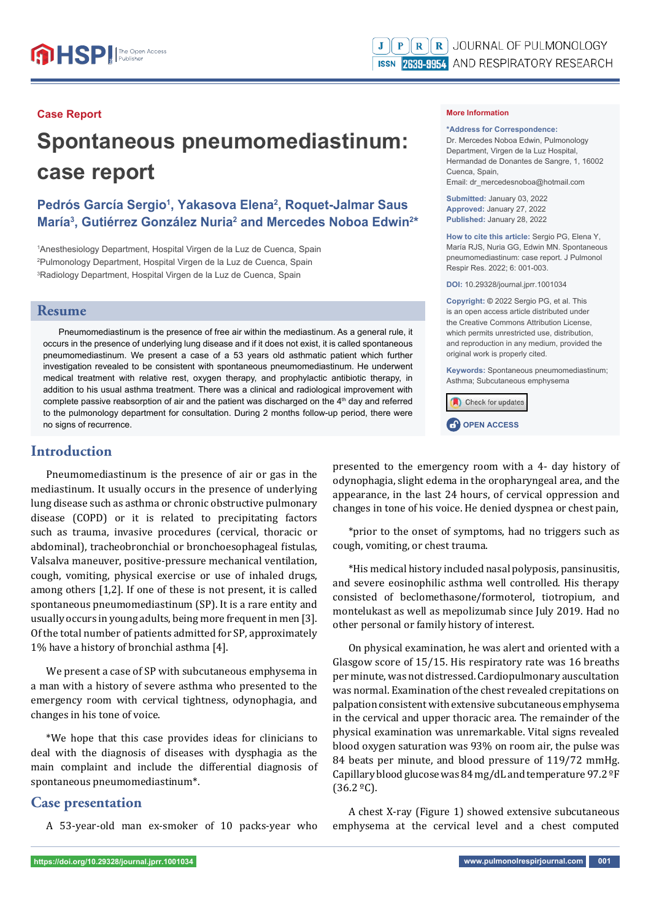#### **Case Report**

# **Spontaneous pneumomediastinum: case report**

## Pedrós García Sergio<sup>1</sup>, Yakasova Elena<sup>2</sup>, Roquet-Jalmar Saus María<sup>3</sup>, Gutiérrez González Nuria<sup>2</sup> and Mercedes Noboa Edwin<sup>2\*</sup>

1 Anesthesiology Department, Hospital Virgen de la Luz de Cuenca, Spain 2 Pulmonology Department, Hospital Virgen de la Luz de Cuenca, Spain 3 Radiology Department, Hospital Virgen de la Luz de Cuenca, Spain

#### **Resume**

Pneumomediastinum is the presence of free air within the mediastinum. As a general rule, it occurs in the presence of underlying lung disease and if it does not exist, it is called spontaneous pneumomediastinum. We present a case of a 53 years old asthmatic patient which further investigation revealed to be consistent with spontaneous pneumomediastinum. He underwent medical treatment with relative rest, oxygen therapy, and prophylactic antibiotic therapy, in addition to his usual asthma treatment. There was a clinical and radiological improvement with complete passive reabsorption of air and the patient was discharged on the  $4<sup>th</sup>$  day and referred to the pulmonology department for consultation. During 2 months follow-up period, there were no signs of recurrence.

### **Introduction**

Pneumomediastinum is the presence of air or gas in the mediastinum. It usually occurs in the presence of underlying lung disease such as asthma or chronic obstructive pulmonary disease (COPD) or it is related to precipitating factors such as trauma, invasive procedures (cervical, thoracic or abdominal), tracheobronchial or bronchoesophageal fistulas, Valsalva maneuver, positive-pressure mechanical ventilation, cough, vomiting, physical exercise or use of inhaled drugs, among others [1,2]. If one of these is not present, it is called spontaneous pneumomediastinum (SP). It is a rare entity and usually occurs in young adults, being more frequent in men [3]. Of the total number of patients admitted for SP, approximately 1% have a history of bronchial asthma [4].

We present a case of SP with subcutaneous emphysema in a man with a history of severe asthma who presented to the emergency room with cervical tightness, odynophagia, and changes in his tone of voice.

\*We hope that this case provides ideas for clinicians to deal with the diagnosis of diseases with dysphagia as the main complaint and include the differential diagnosis of spontaneous pneumomediastinum\*.

## **Case presentation**

A 53-year-old man ex-smoker of 10 packs-year who

#### **More Information**

**\*Address for Correspondence:**  Dr. Mercedes Noboa Edwin, Pulmonology Department, Virgen de la Luz Hospital, Hermandad de Donantes de Sangre, 1, 16002 Cuenca, Spain, Email: dr\_mercedesnoboa@hotmail.com

**Submitted:** January 03, 2022 **Approved:** January 27, 2022 **Published:** January 28, 2022

**How to cite this article:** Sergio PG, Elena Y, María RJS, Nuria GG, Edwin MN. Spontaneous pneumomediastinum: case report. J Pulmonol Respir Res. 2022; 6: 001-003.

**DOI:** 10.29328/journal.jprr.1001034

**Copyright: ©** 2022 Sergio PG, et al. This is an open access article distributed under the Creative Commons Attribution License, which permits unrestricted use, distribution, and reproduction in any medium, provided the original work is properly cited.

**Keywords:** Spontaneous pneumomediastinum; Asthma; Subcutaneous emphysema





presented to the emergency room with a 4- day history of odynophagia, slight edema in the oropharyngeal area, and the appearance, in the last 24 hours, of cervical oppression and changes in tone of his voice. He denied dyspnea or chest pain,

\*prior to the onset of symptoms, had no triggers such as cough, vomiting, or chest trauma.

\*His medical history included nasal polyposis, pansinusitis, and severe eosinophilic asthma well controlled. His therapy consisted of beclomethasone/formoterol, tiotropium, and montelukast as well as mepolizumab since July 2019. Had no other personal or family history of interest.

On physical examination, he was alert and oriented with a Glasgow score of 15/15. His respiratory rate was 16 breaths per minute, was not distressed. Cardiopulmonary auscultation was normal. Examination of the chest revealed crepitations on palpation consistent with extensive subcutaneous emphysema in the cervical and upper thoracic area. The remainder of the physical examination was unremarkable. Vital signs revealed blood oxygen saturation was 93% on room air, the pulse was 84 beats per minute, and blood pressure of 119/72 mmHg. Capillary blood glucose was 84 mg/dL and temperature 97.2 ºF (36.2 ºC).

A chest X-ray (Figure 1) showed extensive subcutaneous emphysema at the cervical level and a chest computed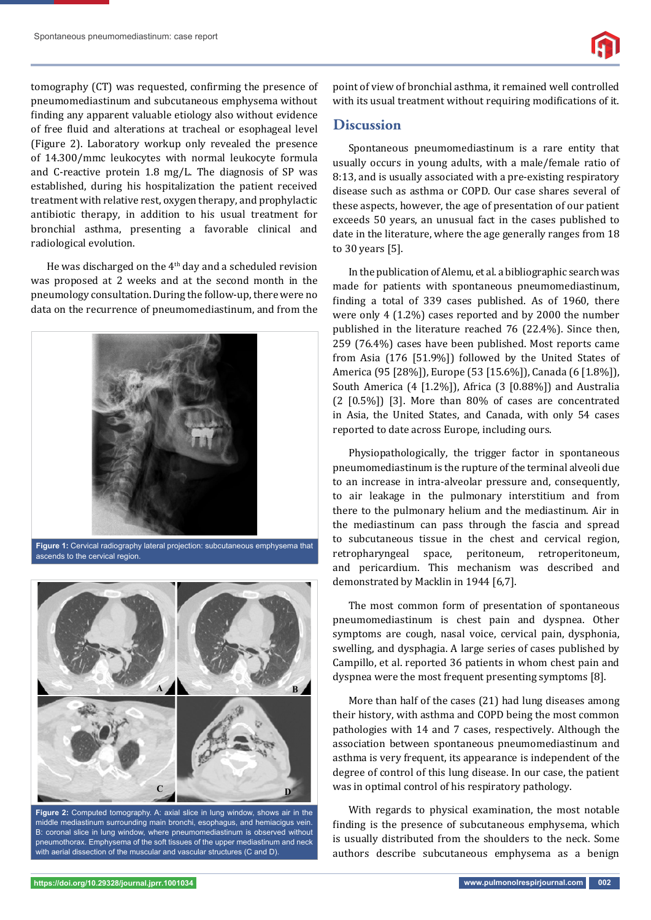tomography (CT) was requested, confirming the presence of pneumomediastinum and subcutaneous emphysema without finding any apparent valuable etiology also without evidence of free fluid and alterations at tracheal or esophageal level (Figure 2). Laboratory workup only revealed the presence of 14.300/mmc leukocytes with normal leukocyte formula and C-reactive protein 1.8 mg/L. The diagnosis of SP was established, during his hospitalization the patient received treatment with relative rest, oxygen therapy, and prophylactic antibiotic therapy, in addition to his usual treatment for bronchial asthma, presenting a favorable clinical and radiological evolution.

He was discharged on the 4<sup>th</sup> day and a scheduled revision was proposed at 2 weeks and at the second month in the pneumology consultation. During the follow-up, there were no data on the recurrence of pneumomediastinum, and from the



**Figure 1:** Cervical radiography lateral projection: subcutaneous emphysema that ascends to the cervical region.



**Figure 2:** Computed tomography. A: axial slice in lung window, shows air in the middle mediastinum surrounding main bronchi, esophagus, and hemiacigus vein. B: coronal slice in lung window, where pneumomediastinum is observed without pneumothorax. Emphysema of the soft tissues of the upper mediastinum and neck with aerial dissection of the muscular and vascular structures (C and D).

point of view of bronchial asthma, it remained well controlled with its usual treatment without requiring modifications of it.

### **Discussion**

Spontaneous pneumomediastinum is a rare entity that usually occurs in young adults, with a male/female ratio of 8:13, and is usually associated with a pre-existing respiratory disease such as asthma or COPD. Our case shares several of these aspects, however, the age of presentation of our patient exceeds 50 years, an unusual fact in the cases published to date in the literature, where the age generally ranges from 18 to 30 years [5].

In the publication of Alemu, et al. a bibliographic search was made for patients with spontaneous pneumomediastinum, finding a total of 339 cases published. As of 1960, there were only 4 (1.2%) cases reported and by 2000 the number published in the literature reached 76 (22.4%). Since then, 259 (76.4%) cases have been published. Most reports came from Asia (176 [51.9%]) followed by the United States of America (95 [28%]), Europe (53 [15.6%]), Canada (6 [1.8%]), South America (4 [1.2%]), Africa (3 [0.88%]) and Australia (2 [0.5%]) [3]. More than 80% of cases are concentrated in Asia, the United States, and Canada, with only 54 cases reported to date across Europe, including ours.

Physiopathologically, the trigger factor in spontaneous pneumomediastinum is the rupture of the terminal alveoli due to an increase in intra-alveolar pressure and, consequently, to air leakage in the pulmonary interstitium and from there to the pulmonary helium and the mediastinum. Air in the mediastinum can pass through the fascia and spread to subcutaneous tissue in the chest and cervical region, retropharyngeal space, peritoneum, retroperitoneum, and pericardium. This mechanism was described and demonstrated by Macklin in 1944 [6,7].

The most common form of presentation of spontaneous pneumomediastinum is chest pain and dyspnea. Other symptoms are cough, nasal voice, cervical pain, dysphonia, swelling, and dysphagia. A large series of cases published by Campillo, et al. reported 36 patients in whom chest pain and dyspnea were the most frequent presenting symptoms [8].

More than half of the cases (21) had lung diseases among their history, with asthma and COPD being the most common pathologies with 14 and 7 cases, respectively. Although the association between spontaneous pneumomediastinum and asthma is very frequent, its appearance is independent of the degree of control of this lung disease. In our case, the patient was in optimal control of his respiratory pathology.

With regards to physical examination, the most notable finding is the presence of subcutaneous emphysema, which is usually distributed from the shoulders to the neck. Some authors describe subcutaneous emphysema as a benign